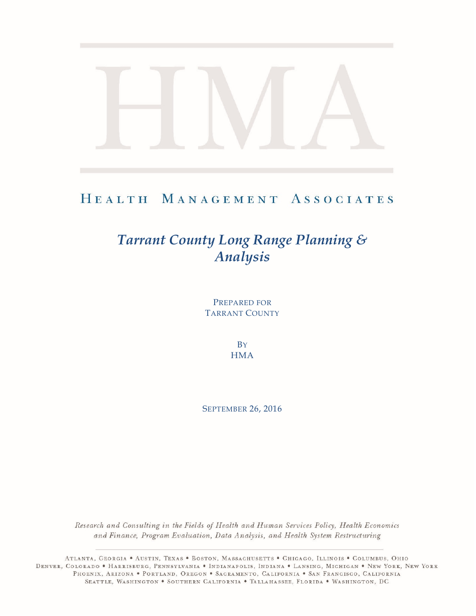## HEALTH MANAGEMENT ASSOCIATES

# *Tarrant County Long Range Planning & Analysis*

PREPARED FOR TARRANT COUNTY

> **B**Y **HMA**

SEPTEMBER 26, 2016

Research and Consulting in the Fields of Health and Human Services Policy, Health Economics and Finance, Program Evaluation, Data Analysis, and Health System Restructuring

ATLANTA, GEORGIA . AUSTIN, TEXAS . BOSTON, MASSACHUSETTS . CHICAGO, ILLINOIS . COLUMBUS, OHIO DENVER, COLORADO • HARRISBURG, PENNSYLVANIA • INDIANAPOLIS, INDIANA • LANSING, MICHIGAN • NEW YORK, NEW YORK PHOENIX, ARIZONA . PORTLAND, OREGON . SACRAMENTO, CALIFORNIA . SAN FRANCISCO, CALIFORNIA SEATTLE, WASHINGTON . SOUTHERN CALIFORNIA . TALLAHASSEE, FLORIDA . WASHINGTON, DC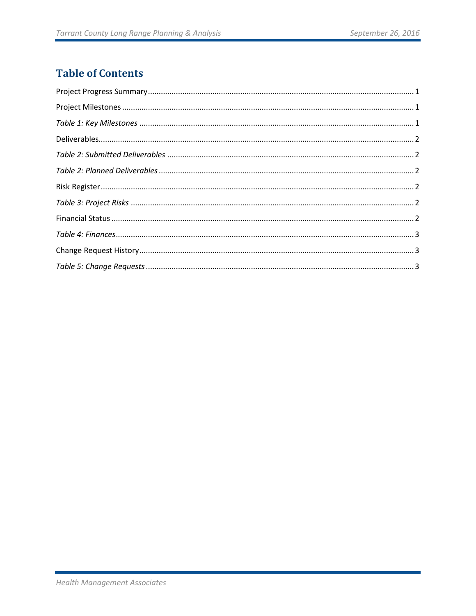#### **Table of Contents**

| $\label{eq:1} \textbf{Project\,Milestones}\, \textbf{.} \textbf{.} \textbf{.} \textbf{.} \textbf{.} \textbf{.} \textbf{.} \textbf{.} \textbf{.} \textbf{.} \textbf{.} \textbf{.} \textbf{.} \textbf{.} \textbf{.} \textbf{.} \textbf{.} \textbf{.} \textbf{.} \textbf{.} \textbf{.} \textbf{.} \textbf{.} \textbf{.} \textbf{.} \textbf{.} \textbf{.} \textbf{.} \textbf{.} \textbf{.} \textbf{.} \textbf{.} \textbf{.} \textbf$ |  |
|----------------------------------------------------------------------------------------------------------------------------------------------------------------------------------------------------------------------------------------------------------------------------------------------------------------------------------------------------------------------------------------------------------------------------------|--|
|                                                                                                                                                                                                                                                                                                                                                                                                                                  |  |
|                                                                                                                                                                                                                                                                                                                                                                                                                                  |  |
|                                                                                                                                                                                                                                                                                                                                                                                                                                  |  |
|                                                                                                                                                                                                                                                                                                                                                                                                                                  |  |
|                                                                                                                                                                                                                                                                                                                                                                                                                                  |  |
|                                                                                                                                                                                                                                                                                                                                                                                                                                  |  |
|                                                                                                                                                                                                                                                                                                                                                                                                                                  |  |
|                                                                                                                                                                                                                                                                                                                                                                                                                                  |  |
|                                                                                                                                                                                                                                                                                                                                                                                                                                  |  |
|                                                                                                                                                                                                                                                                                                                                                                                                                                  |  |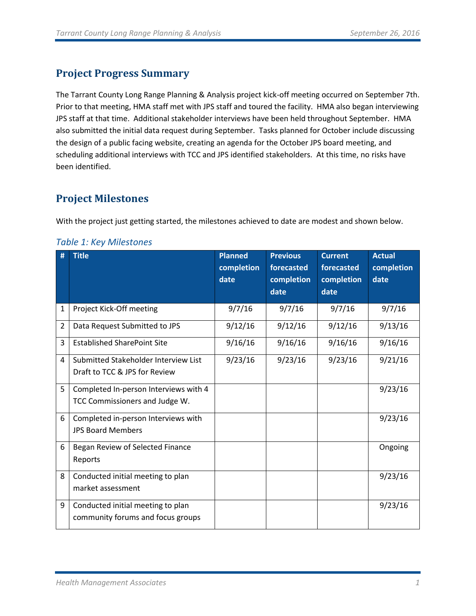#### <span id="page-2-0"></span>**Project Progress Summary**

The Tarrant County Long Range Planning & Analysis project kick-off meeting occurred on September 7th. Prior to that meeting, HMA staff met with JPS staff and toured the facility. HMA also began interviewing JPS staff at that time. Additional stakeholder interviews have been held throughout September. HMA also submitted the initial data request during September. Tasks planned for October include discussing the design of a public facing website, creating an agenda for the October JPS board meeting, and scheduling additional interviews with TCC and JPS identified stakeholders. At this time, no risks have been identified.

#### <span id="page-2-1"></span>**Project Milestones**

With the project just getting started, the milestones achieved to date are modest and shown below.

#### **# Title Planned completion date Previous forecasted completion date Current forecasted completion date Actual completion date** 1 Project Kick-Off meeting 9/7/16 9/7/16 9/7/16 9/7/16 2 | Data Request Submitted to JPS | 9/12/16 | 9/12/16 | 9/12/16 | 9/13/16 3 | Established SharePoint Site | 9/16/16 | 9/16/16 | 9/16/16 | 9/16/16 4 Submitted Stakeholder Interview List Draft to TCC & JPS for Review 9/23/16 9/23/16 9/23/16 9/21/16 5 Completed In-person Interviews with 4 TCC Commissioners and Judge W. 9/23/16 6 Completed in-person Interviews with JPS Board Members 9/23/16 6 | Began Review of Selected Finance Reports Ongoing 8 Conducted initial meeting to plan market assessment 9/23/16

#### <span id="page-2-2"></span>*Table 1: Key Milestones*

9 | Conducted initial meeting to plan

community forums and focus groups

9/23/16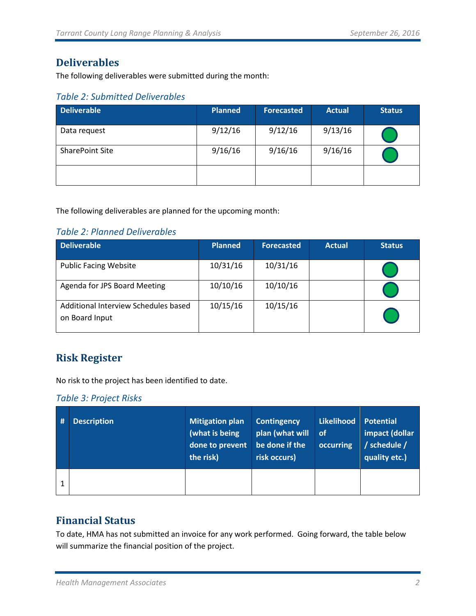#### <span id="page-3-0"></span>**Deliverables**

The following deliverables were submitted during the month:

<span id="page-3-1"></span>

|  | <b>Table 2: Submitted Deliverables</b> |  |  |
|--|----------------------------------------|--|--|
|  |                                        |  |  |

| <b>Deliverable</b>     | <b>Planned</b> | <b>Forecasted</b> | <b>Actual</b> | <b>Status</b> |
|------------------------|----------------|-------------------|---------------|---------------|
| Data request           | 9/12/16        | 9/12/16           | 9/13/16       |               |
| <b>SharePoint Site</b> | 9/16/16        | 9/16/16           | 9/16/16       |               |
|                        |                |                   |               |               |

The following deliverables are planned for the upcoming month:

#### <span id="page-3-2"></span>*Table 2: Planned Deliverables*

| <b>Deliverable</b>                                     | <b>Planned</b> | <b>Forecasted</b> | <b>Actual</b> | <b>Status</b> |
|--------------------------------------------------------|----------------|-------------------|---------------|---------------|
| <b>Public Facing Website</b>                           | 10/31/16       | 10/31/16          |               |               |
| Agenda for JPS Board Meeting                           | 10/10/16       | 10/10/16          |               |               |
| Additional Interview Schedules based<br>on Board Input | 10/15/16       | 10/15/16          |               |               |

#### <span id="page-3-3"></span>**Risk Register**

No risk to the project has been identified to date.

<span id="page-3-4"></span>

|  | Table 3: Project Risks |  |
|--|------------------------|--|
|  |                        |  |

| # | <b>Description</b> | <b>Mitigation plan</b><br>(what is being<br>done to prevent<br>the risk) | <b>Contingency</b><br>plan (what will<br>be done if the<br>risk occurs) | Likelihood<br>∣ of<br>occurring | <b>Potential</b><br>impact (dollar<br>/ schedule /<br>quality etc.) |
|---|--------------------|--------------------------------------------------------------------------|-------------------------------------------------------------------------|---------------------------------|---------------------------------------------------------------------|
|   |                    |                                                                          |                                                                         |                                 |                                                                     |

#### <span id="page-3-5"></span>**Financial Status**

To date, HMA has not submitted an invoice for any work performed. Going forward, the table below will summarize the financial position of the project.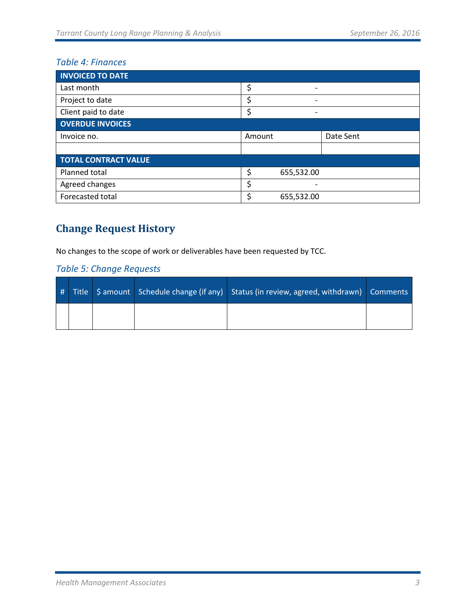#### <span id="page-4-0"></span>*Table 4: Finances*

| <b>INVOICED TO DATE</b>     |        |                              |           |
|-----------------------------|--------|------------------------------|-----------|
| Last month                  | \$     | $\qquad \qquad \blacksquare$ |           |
| Project to date             | \$     |                              |           |
| Client paid to date         | c      | $\overline{\phantom{0}}$     |           |
| <b>OVERDUE INVOICES</b>     |        |                              |           |
| Invoice no.                 | Amount |                              | Date Sent |
|                             |        |                              |           |
| <b>TOTAL CONTRACT VALUE</b> |        |                              |           |
| Planned total               | \$     | 655,532.00                   |           |
| Agreed changes              | \$     |                              |           |
| Forecasted total            | c      | 655,532.00                   |           |

## <span id="page-4-1"></span>**Change Request History**

No changes to the scope of work or deliverables have been requested by TCC.

#### <span id="page-4-2"></span>*Table 5: Change Requests*

|  |  | # Title   \$ amount   Schedule change (if any)   Status (in review, agreed, withdrawn)   Comments |  |
|--|--|---------------------------------------------------------------------------------------------------|--|
|  |  |                                                                                                   |  |